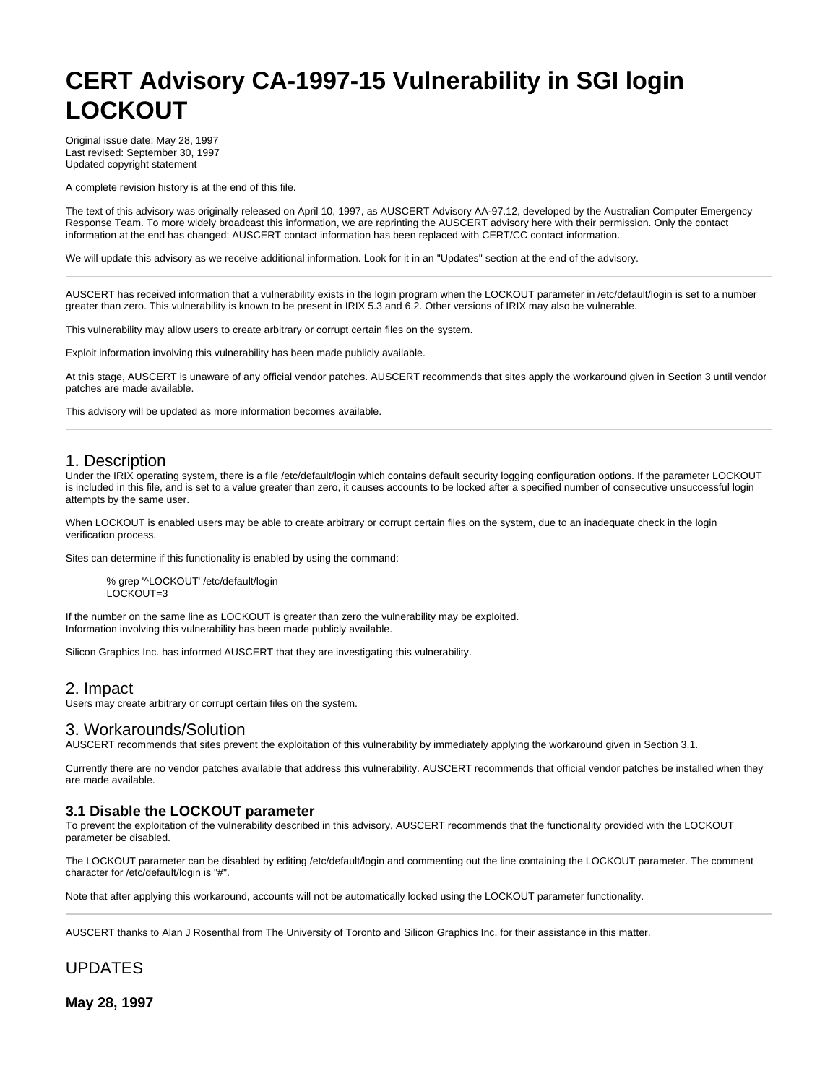# **CERT Advisory CA-1997-15 Vulnerability in SGI login LOCKOUT**

Original issue date: May 28, 1997 Last revised: September 30, 1997 Updated copyright statement

A complete revision history is at the end of this file.

The text of this advisory was originally released on April 10, 1997, as AUSCERT Advisory AA-97.12, developed by the Australian Computer Emergency Response Team. To more widely broadcast this information, we are reprinting the AUSCERT advisory here with their permission. Only the contact information at the end has changed: AUSCERT contact information has been replaced with CERT/CC contact information.

We will update this advisory as we receive additional information. Look for it in an "Updates" section at the end of the advisory.

AUSCERT has received information that a vulnerability exists in the login program when the LOCKOUT parameter in /etc/default/login is set to a number greater than zero. This vulnerability is known to be present in IRIX 5.3 and 6.2. Other versions of IRIX may also be vulnerable.

This vulnerability may allow users to create arbitrary or corrupt certain files on the system.

Exploit information involving this vulnerability has been made publicly available.

At this stage, AUSCERT is unaware of any official vendor patches. AUSCERT recommends that sites apply the workaround given in Section 3 until vendor patches are made available.

This advisory will be updated as more information becomes available.

### 1. Description

Under the IRIX operating system, there is a file /etc/default/login which contains default security logging configuration options. If the parameter LOCKOUT is included in this file, and is set to a value greater than zero, it causes accounts to be locked after a specified number of consecutive unsuccessful login attempts by the same user.

When LOCKOUT is enabled users may be able to create arbitrary or corrupt certain files on the system, due to an inadequate check in the login verification process.

Sites can determine if this functionality is enabled by using the command:

% grep '^LOCKOUT' /etc/default/login LOCKOUT=3

If the number on the same line as LOCKOUT is greater than zero the vulnerability may be exploited. Information involving this vulnerability has been made publicly available.

Silicon Graphics Inc. has informed AUSCERT that they are investigating this vulnerability.

#### 2. Impact

Users may create arbitrary or corrupt certain files on the system.

#### 3. Workarounds/Solution

AUSCERT recommends that sites prevent the exploitation of this vulnerability by immediately applying the workaround given in Section 3.1.

Currently there are no vendor patches available that address this vulnerability. AUSCERT recommends that official vendor patches be installed when they are made available.

#### **3.1 Disable the LOCKOUT parameter**

To prevent the exploitation of the vulnerability described in this advisory, AUSCERT recommends that the functionality provided with the LOCKOUT parameter be disabled.

The LOCKOUT parameter can be disabled by editing /etc/default/login and commenting out the line containing the LOCKOUT parameter. The comment character for /etc/default/login is "#".

Note that after applying this workaround, accounts will not be automatically locked using the LOCKOUT parameter functionality.

AUSCERT thanks to Alan J Rosenthal from The University of Toronto and Silicon Graphics Inc. for their assistance in this matter.

## UPDATES

**May 28, 1997**